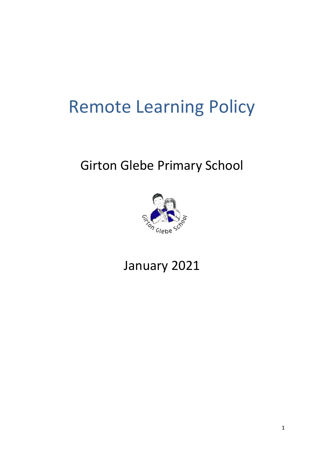# Remote Learning Policy

# Girton Glebe Primary School



January 2021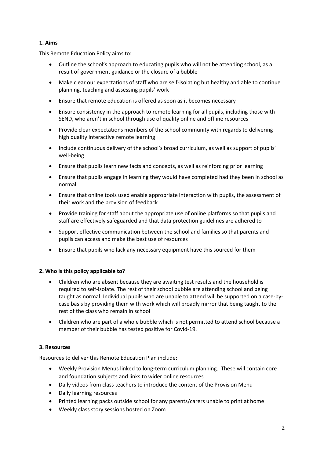# **1. Aims**

This Remote Education Policy aims to:

- Outline the school's approach to educating pupils who will not be attending school, as a result of government guidance or the closure of a bubble
- Make clear our expectations of staff who are self-isolating but healthy and able to continue planning, teaching and assessing pupils' work
- Ensure that remote education is offered as soon as it becomes necessary
- Ensure consistency in the approach to remote learning for all pupils, including those with SEND, who aren't in school through use of quality online and offline resources
- Provide clear expectations members of the school community with regards to delivering high quality interactive remote learning
- Include continuous delivery of the school's broad curriculum, as well as support of pupils' well-being
- Ensure that pupils learn new facts and concepts, as well as reinforcing prior learning
- Ensure that pupils engage in learning they would have completed had they been in school as normal
- Ensure that online tools used enable appropriate interaction with pupils, the assessment of their work and the provision of feedback
- Provide training for staff about the appropriate use of online platforms so that pupils and staff are effectively safeguarded and that data protection guidelines are adhered to
- Support effective communication between the school and families so that parents and pupils can access and make the best use of resources
- Ensure that pupils who lack any necessary equipment have this sourced for them

# **2. Who is this policy applicable to?**

- Children who are absent because they are awaiting test results and the household is required to self-isolate. The rest of their school bubble are attending school and being taught as normal. Individual pupils who are unable to attend will be supported on a case-bycase basis by providing them with work which will broadly mirror that being taught to the rest of the class who remain in school
- Children who are part of a whole bubble which is not permitted to attend school because a member of their bubble has tested positive for Covid-19.

# **3. Resources**

Resources to deliver this Remote Education Plan include:

- Weekly Provision Menus linked to long-term curriculum planning. These will contain core and foundation subjects and links to wider online resources
- Daily videos from class teachers to introduce the content of the Provision Menu
- Daily learning resources
- Printed learning packs outside school for any parents/carers unable to print at home
- Weekly class story sessions hosted on Zoom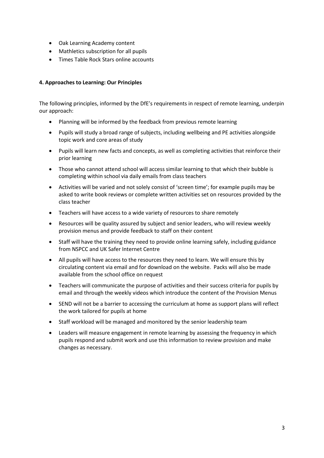- Oak Learning Academy content
- Mathletics subscription for all pupils
- Times Table Rock Stars online accounts

# **4. Approaches to Learning: Our Principles**

The following principles, informed by the DfE's requirements in respect of remote learning, underpin our approach:

- Planning will be informed by the feedback from previous remote learning
- Pupils will study a broad range of subjects, including wellbeing and PE activities alongside topic work and core areas of study
- Pupils will learn new facts and concepts, as well as completing activities that reinforce their prior learning
- Those who cannot attend school will access similar learning to that which their bubble is completing within school via daily emails from class teachers
- Activities will be varied and not solely consist of 'screen time'; for example pupils may be asked to write book reviews or complete written activities set on resources provided by the class teacher
- Teachers will have access to a wide variety of resources to share remotely
- Resources will be quality assured by subject and senior leaders, who will review weekly provision menus and provide feedback to staff on their content
- Staff will have the training they need to provide online learning safely, including guidance from NSPCC and UK Safer Internet Centre
- All pupils will have access to the resources they need to learn. We will ensure this by circulating content via email and for download on the website. Packs will also be made available from the school office on request
- Teachers will communicate the purpose of activities and their success criteria for pupils by email and through the weekly videos which introduce the content of the Provision Menus
- SEND will not be a barrier to accessing the curriculum at home as support plans will reflect the work tailored for pupils at home
- Staff workload will be managed and monitored by the senior leadership team
- Leaders will measure engagement in remote learning by assessing the frequency in which pupils respond and submit work and use this information to review provision and make changes as necessary.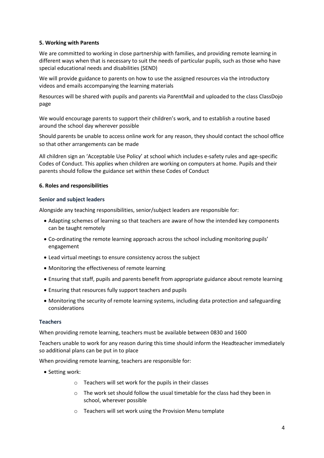#### **5. Working with Parents**

We are committed to working in close partnership with families, and providing remote learning in different ways when that is necessary to suit the needs of particular pupils, such as those who have special educational needs and disabilities (SEND)

We will provide guidance to parents on how to use the assigned resources via the introductory videos and emails accompanying the learning materials

Resources will be shared with pupils and parents via ParentMail and uploaded to the class ClassDojo page

We would encourage parents to support their children's work, and to establish a routine based around the school day wherever possible

Should parents be unable to access online work for any reason, they should contact the school office so that other arrangements can be made

All children sign an 'Acceptable Use Policy' at school which includes e-safety rules and age-specific Codes of Conduct. This applies when children are working on computers at home. Pupils and their parents should follow the guidance set within these Codes of Conduct

#### **6. Roles and responsibilities**

#### **Senior and subject leaders**

Alongside any teaching responsibilities, senior/subject leaders are responsible for:

- Adapting schemes of learning so that teachers are aware of how the intended key components can be taught remotely
- Co-ordinating the remote learning approach across the school including monitoring pupils' engagement
- Lead virtual meetings to ensure consistency across the subject
- Monitoring the effectiveness of remote learning
- Ensuring that staff, pupils and parents benefit from appropriate guidance about remote learning
- Ensuring that resources fully support teachers and pupils
- Monitoring the security of remote learning systems, including data protection and safeguarding considerations

#### **Teachers**

When providing remote learning, teachers must be available between 0830 and 1600

Teachers unable to work for any reason during this time should inform the Headteacher immediately so additional plans can be put in to place

When providing remote learning, teachers are responsible for:

- Setting work:
	- o Teachers will set work for the pupils in their classes
	- o The work set should follow the usual timetable for the class had they been in school, wherever possible
	- o Teachers will set work using the Provision Menu template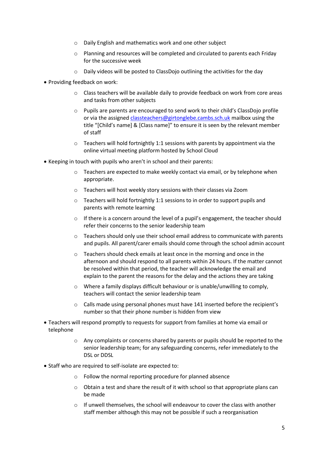- o Daily English and mathematics work and one other subject
- o Planning and resources will be completed and circulated to parents each Friday for the successive week
- o Daily videos will be posted to ClassDojo outlining the activities for the day
- Providing feedback on work:
	- $\circ$  Class teachers will be available daily to provide feedback on work from core areas and tasks from other subjects
	- o Pupils are parents are encouraged to send work to their child's ClassDojo profile or via the assigne[d classteachers@gir](mailto:classteachers@g)tonglebe.cambs.sch.uk mailbox using the title "[Child's name] & [Class name]" to ensure it is seen by the relevant member of staff
	- $\circ$  Teachers will hold fortnightly 1:1 sessions with parents by appointment via the online virtual meeting platform hosted by School Cloud
- Keeping in touch with pupils who aren't in school and their parents:
	- $\circ$  Teachers are expected to make weekly contact via email, or by telephone when appropriate.
	- o Teachers will host weekly story sessions with their classes via Zoom
	- o Teachers will hold fortnightly 1:1 sessions to in order to support pupils and parents with remote learning
	- $\circ$  If there is a concern around the level of a pupil's engagement, the teacher should refer their concerns to the senior leadership team
	- $\circ$  Teachers should only use their school email address to communicate with parents and pupils. All parent/carer emails should come through the school admin account
	- o Teachers should check emails at least once in the morning and once in the afternoon and should respond to all parents within 24 hours. If the matter cannot be resolved within that period, the teacher will acknowledge the email and explain to the parent the reasons for the delay and the actions they are taking
	- o Where a family displays difficult behaviour or is unable/unwilling to comply, teachers will contact the senior leadership team
	- o Calls made using personal phones must have 141 inserted before the recipient's number so that their phone number is hidden from view
- Teachers will respond promptly to requests for support from families at home via email or telephone
	- o Any complaints or concerns shared by parents or pupils should be reported to the senior leadership team; for any safeguarding concerns, refer immediately to the DSL or DDSL
- Staff who are required to self-isolate are expected to:
	- o Follow the normal reporting procedure for planned absence
	- $\circ$  Obtain a test and share the result of it with school so that appropriate plans can be made
	- o If unwell themselves, the school will endeavour to cover the class with another staff member although this may not be possible if such a reorganisation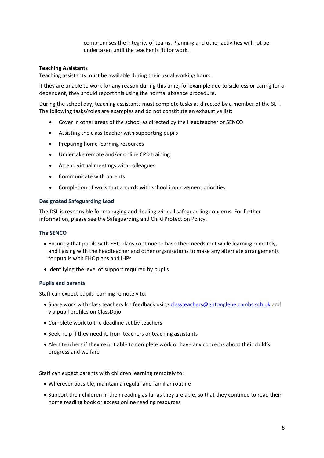compromises the integrity of teams. Planning and other activities will not be undertaken until the teacher is fit for work.

#### **Teaching Assistants**

Teaching assistants must be available during their usual working hours.

If they are unable to work for any reason during this time, for example due to sickness or caring for a dependent, they should report this using the normal absence procedure.

During the school day, teaching assistants must complete tasks as directed by a member of the SLT. The following tasks/roles are examples and do not constitute an exhaustive list:

- Cover in other areas of the school as directed by the Headteacher or SENCO
- Assisting the class teacher with supporting pupils
- Preparing home learning resources
- Undertake remote and/or online CPD training
- Attend virtual meetings with colleagues
- Communicate with parents
- Completion of work that accords with school improvement priorities

#### **Designated Safeguarding Lead**

The DSL is responsible for managing and dealing with all safeguarding concerns. For further information, please see the Safeguarding and Child Protection Policy.

#### **The SENCO**

- Ensuring that pupils with EHC plans continue to have their needs met while learning remotely, and liaising with the headteacher and other organisations to make any alternate arrangements for pupils with EHC plans and IHPs
- Identifying the level of support required by pupils

#### **Pupils and parents**

Staff can expect pupils learning remotely to:

- Share work with class teachers for feedback usin[g classteachers@girtonglebe.cambs.sch.uk](mailto:classteachers@girtonglebe.cambs.sch.uk) and via pupil profiles on ClassDojo
- Complete work to the deadline set by teachers
- Seek help if they need it, from teachers or teaching assistants
- Alert teachers if they're not able to complete work or have any concerns about their child's progress and welfare

Staff can expect parents with children learning remotely to:

- Wherever possible, maintain a regular and familiar routine
- Support their children in their reading as far as they are able, so that they continue to read their home reading book or access online reading resources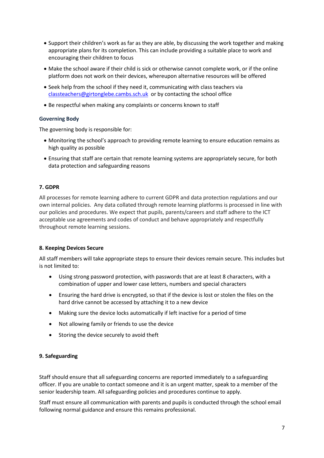- Support their children's work as far as they are able, by discussing the work together and making appropriate plans for its completion. This can include providing a suitable place to work and encouraging their children to focus
- Make the school aware if their child is sick or otherwise cannot complete work, or if the online platform does not work on their devices, whereupon alternative resources will be offered
- Seek help from the school if they need it, communicating with class teachers via [classteachers@girtonglebe.cambs.sch.uk](mailto:classteachers@girtonglebe.cambs.sch.uk) or by contacting the school office
- Be respectful when making any complaints or concerns known to staff

#### **Governing Body**

The governing body is responsible for:

- Monitoring the school's approach to providing remote learning to ensure education remains as high quality as possible
- Ensuring that staff are certain that remote learning systems are appropriately secure, for both data protection and safeguarding reasons

#### **7. GDPR**

All processes for remote learning adhere to current GDPR and data protection regulations and our own internal policies. Any data collated through remote learning platforms is processed in line with our policies and procedures. We expect that pupils, parents/careers and staff adhere to the ICT acceptable use agreements and codes of conduct and behave appropriately and respectfully throughout remote learning sessions.

#### **8. Keeping Devices Secure**

All staff members will take appropriate steps to ensure their devices remain secure. This includes but is not limited to:

- Using strong password protection, with passwords that are at least 8 characters, with a combination of upper and lower case letters, numbers and special characters
- Ensuring the hard drive is encrypted, so that if the device is lost or stolen the files on the hard drive cannot be accessed by attaching it to a new device
- Making sure the device locks automatically if left inactive for a period of time
- Not allowing family or friends to use the device
- Storing the device securely to avoid theft

#### **9. Safeguarding**

Staff should ensure that all safeguarding concerns are reported immediately to a safeguarding officer. If you are unable to contact someone and it is an urgent matter, speak to a member of the senior leadership team. All safeguarding policies and procedures continue to apply.

Staff must ensure all communication with parents and pupils is conducted through the school email following normal guidance and ensure this remains professional.